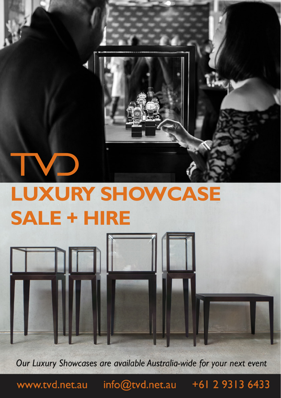# **LUXURY SHOWCASE SALE + HIRE**

Our Luxury Showcases are available Australia-wide for your next event

www.tvd.net.au

info@tvd.net.au +61 2 9313 6433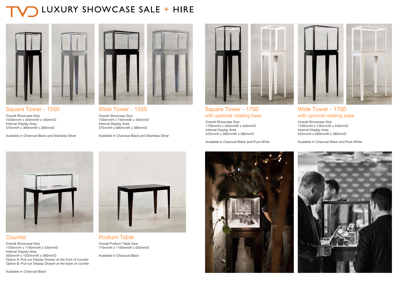### LUXURY SHOWCASE SALE + HIRE



#### Square Tower - 1550

Overall Showcase Size 1550mmH x 440mmW x 440mmD Internal Display Area 375mmH x 390mmW x 380mmD

Available in Charcoal Black and Stainless Silver



Wide Tower - 1550 Overall Showcase Size 1550mmH x 740mmW x 440mmD Internal Display Area 375mmH x 690mmW x 380mmD

Available in Charcoal Black and Stainless Silver



#### Square Tower - 1700 Wide Tower - 1700 with optional rotating base

Overall Showcase Size 1700mmH x 740mmW x 440mmD Internal Display Area 525mmH x 690mmW x 380mmD

Available in Charcoal Black and Pure White



#### **Counter**

Overall Showcase Size 1100mmH x 1100mmW x 550mmD Internal Display Area 300mmH x 1020mmW x 480mmD Option A: Pull out Display Drawer at the front of counter Option B: Pull out Display Drawer at the back of counter



Podium Table Overall Podium Table Size 775mmH x 1100mmW x 550mmD

Available in Charcoal Black



with optional rotating base

525mmH x 390mmW x 380mmD

Available in Charcoal Black and Pure White

Overall Showcase Size 1700mmH x 440mmW x 440mmD

Internal Display Area